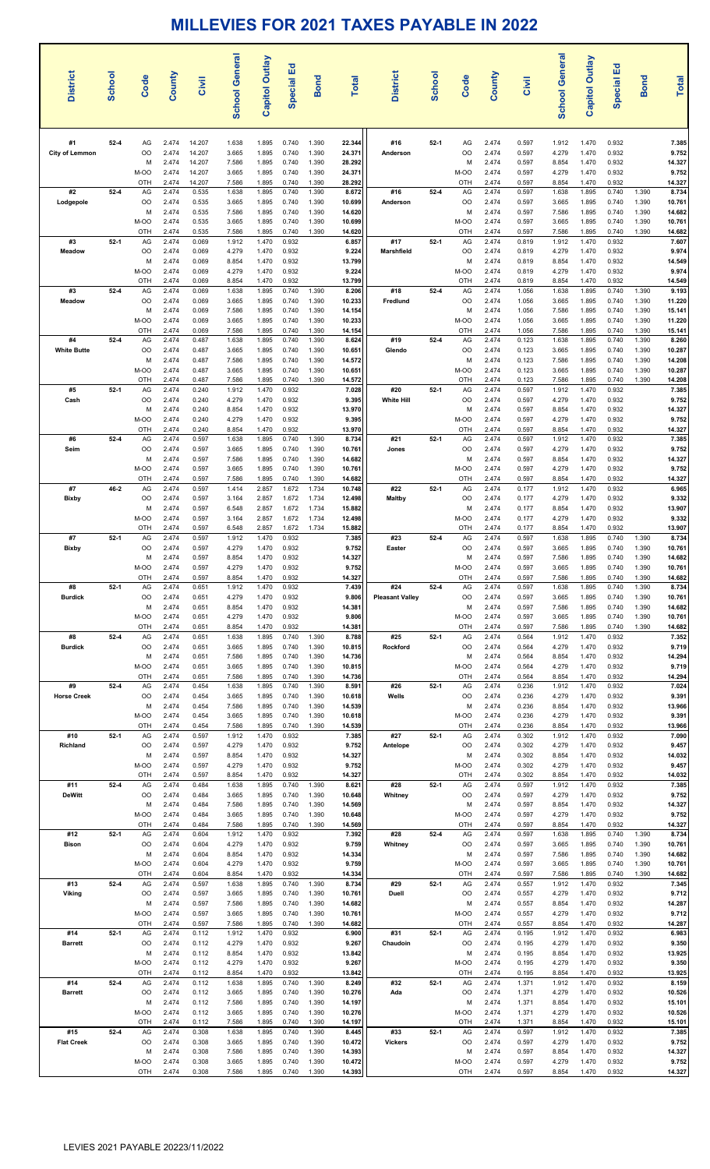## **MILLEVIES FOR 2021 TAXES PAYABLE IN 2022**

| <b>District</b>            | School               | Code                                      | County                                             | Civil                                          | <b>School General</b>                     | Capitol Outlay                            | 品<br>Special                                       | <b>Bond</b>                               | <b>Total</b>                                         | <b>District</b>               | <b>School</b>      | Code                               | County                                             | Civil                                     | <b>School General</b>                              | <b>Capitol Outlay</b>                              | Special Ed                                         | <b>Bond</b>                               | <b>Total</b>                                           |
|----------------------------|----------------------|-------------------------------------------|----------------------------------------------------|------------------------------------------------|-------------------------------------------|-------------------------------------------|----------------------------------------------------|-------------------------------------------|------------------------------------------------------|-------------------------------|--------------------|------------------------------------|----------------------------------------------------|-------------------------------------------|----------------------------------------------------|----------------------------------------------------|----------------------------------------------------|-------------------------------------------|--------------------------------------------------------|
| #1<br>City of Lemmon       | $52 - 4$             | AG<br>OO<br>М<br>M-OO<br>OTH              | 2.474<br>2.474<br>2.474<br>2.474<br>2.474          | 14.207<br>14.207<br>14.207<br>14.207<br>14.207 | 1.638<br>3.665<br>7.586<br>3.665<br>7.586 | 1.895<br>1.895<br>1.895<br>1.895<br>1.895 | 0.740<br>0.740<br>0.740<br>0.740<br>0.740          | 1.390<br>1.390<br>1.390<br>1.390<br>1.390 | 22.344<br>24.371<br>28.292<br>24.371<br>28.292       | #16<br>Anderson               | $52-1$             | AG<br>OO<br>M<br>M-OO<br>OTH       | 2.474<br>2.474<br>2.474<br>2.474<br>2.474          | 0.597<br>0.597<br>0.597<br>0.597<br>0.597 | 1.912<br>4.279<br>8.854<br>4.279<br>8.854          | 1.470<br>1.470<br>1.470<br>1.470<br>1.470          | 0.932<br>0.932<br>0.932<br>0.932<br>0.932          |                                           | 7.385<br>9.752<br>14.327<br>9.752<br>14.327            |
| #2<br>Lodgepole            | $52 - 4$             | AG<br>OO<br>M<br>M-OO<br>OTH              | 2.474<br>2.474<br>2.474<br>2.474<br>2.474          | 0.535<br>0.535<br>0.535<br>0.535<br>0.535      | 1.638<br>3.665<br>7.586<br>3.665<br>7.586 | 1.895<br>1.895<br>1.895<br>1.895<br>1.895 | 0.740<br>0.740<br>0.740<br>0.740<br>0.740          | 1.390<br>1.390<br>1.390<br>1.390<br>1.390 | 8.672<br>10.699<br>14.620<br>10.699<br>14.620        | #16<br>Anderson               | $52 - 4$           | AG<br>OO<br>M<br>M-OO<br>OTH       | 2.474<br>2.474<br>2.474<br>2.474<br>2.474          | 0.597<br>0.597<br>0.597<br>0.597<br>0.597 | 1.638<br>3.665<br>7.586<br>3.665<br>7.586          | 1.895<br>1.895<br>1.895<br>1.895<br>1.895          | 0.740<br>0.740<br>0.740<br>0.740<br>0.740          | 1.390<br>1.390<br>1.390<br>1.390<br>1.390 | 8.734<br>10.761<br>14.682<br>10.761<br>14.682          |
| #3<br>Meadow               | $52-1$               | AG<br>OO<br>M<br>M-OO<br>OTH              | 2.474<br>2.474<br>2.474<br>2.474<br>2.474          | 0.069<br>0.069<br>0.069<br>0.069<br>0.069      | 1.912<br>4.279<br>8.854<br>4.279<br>8.854 | 1.470<br>1.470<br>1.470<br>1.470<br>1.470 | 0.932<br>0.932<br>0.932<br>0.932<br>0.932          |                                           | 6.857<br>9.224<br>13.799<br>9.224<br>13.799          | #17<br>Marshfield             | $52-1$             | AG<br>OO<br>M<br>M-OO<br>OTH       | 2.474<br>2.474<br>2.474<br>2.474<br>2.474          | 0.819<br>0.819<br>0.819<br>0.819<br>0.819 | 1.912<br>4.279<br>8.854<br>4.279<br>8.854          | 1.470<br>1.470<br>1.470<br>1.470<br>1.470          | 0.932<br>0.932<br>0.932<br>0.932<br>0.932          |                                           | 7.607<br>9.974<br>14.549<br>9.974<br>14.549            |
| #3<br>Meadow               | $52 - 4$             | AG<br>OO<br>М<br>M-OO<br>OTH              | 2.474<br>2.474<br>2.474<br>2.474<br>2.474          | 0.069<br>0.069<br>0.069<br>0.069<br>0.069      | 1.638<br>3.665<br>7.586<br>3.665<br>7.586 | 1.895<br>1.895<br>1.895<br>1.895<br>1.895 | 0.740<br>0.740<br>0.740<br>0.740<br>0.740          | 1.390<br>1.390<br>1.390<br>1.390<br>1.390 | 8.206<br>10.233<br>14.154<br>10.233<br>14.154        | #18<br>Fredlund               | $52 - 4$           | AG<br>OO<br>M<br>M-OO<br>OTH       | 2.474<br>2.474<br>2.474<br>2.474<br>2.474          | 1.056<br>1.056<br>1.056<br>1.056<br>1.056 | 1.638<br>3.665<br>7.586<br>3.665<br>7.586          | 1.895<br>1.895<br>1.895<br>1.895<br>1.895          | 0.740<br>0.740<br>0.740<br>0.740<br>0.740          | 1.390<br>1.390<br>1.390<br>1.390<br>1.390 | 9.193<br>11.220<br>15.141<br>11.220<br>15.141          |
| #4<br><b>White Butte</b>   | $52 - 4$             | AG<br>OO<br>М<br>M-OO<br>OTH              | 2.474<br>2.474<br>2.474<br>2.474<br>2.474          | 0.487<br>0.487<br>0.487<br>0.487<br>0.487      | 1.638<br>3.665<br>7.586<br>3.665<br>7.586 | 1.895<br>1.895<br>1.895<br>1.895<br>1.895 | 0.740<br>0.740<br>0.740<br>0.740<br>0.740          | 1.390<br>1.390<br>1.390<br>1.390<br>1.390 | 8.624<br>10.651<br>14.572<br>10.651<br>14.572        | #19<br>Glendo                 | $52 - 4$           | AG<br>OO<br>M<br>M-OO<br>OTH       | 2.474<br>2.474<br>2.474<br>2.474<br>2.474          | 0.123<br>0.123<br>0.123<br>0.123<br>0.123 | 1.638<br>3.665<br>7.586<br>3.665<br>7.586          | 1.895<br>1.895<br>1.895<br>1.895<br>1.895          | 0.740<br>0.740<br>0.740<br>0.740<br>0.740          | 1.390<br>1.390<br>1.390<br>1.390<br>1.390 | 8.260<br>10.287<br>14.208<br>10.287<br>14.208          |
| #5<br>Cash                 | $52 - 1$             | AG<br>$_{\rm oo}$<br>М<br>M-OO<br>OTH     | 2.474<br>2.474<br>2.474<br>2.474<br>2.474          | 0.240<br>0.240<br>0.240<br>0.240<br>0.240      | 1.912<br>4.279<br>8.854<br>4.279<br>8.854 | 1.470<br>1.470<br>1.470<br>1.470<br>1.470 | 0.932<br>0.932<br>0.932<br>0.932<br>0.932          |                                           | 7.028<br>9.395<br>13.970<br>9.395<br>13.970          | #20<br><b>White Hill</b>      | $52 - 1$           | AG<br>OO<br>M<br>M-OO<br>OTH       | 2.474<br>2.474<br>2.474<br>2.474<br>2.474          | 0.597<br>0.597<br>0.597<br>0.597<br>0.597 | 1.912<br>4.279<br>8.854<br>4.279<br>8.854          | 1.470<br>1.470<br>1.470<br>1.470<br>1.470          | 0.932<br>0.932<br>0.932<br>0.932<br>0.932          |                                           | 7.385<br>9.752<br>14.327<br>9.752<br>14.327            |
| #6<br>Seim                 | $52 - 4$             | AG<br>OO<br>М<br>M-OO<br>OTH              | 2.474<br>2.474<br>2.474<br>2.474<br>2.474          | 0.597<br>0.597<br>0.597<br>0.597<br>0.597      | 1.638<br>3.665<br>7.586<br>3.665<br>7.586 | 1.895<br>1.895<br>1.895<br>1.895<br>1.895 | 0.740<br>0.740<br>0.740<br>0.740<br>0.740          | 1.390<br>1.390<br>1.390<br>1.390<br>1.390 | 8.734<br>10.761<br>14.682<br>10.761<br>14.682        | #21<br>Jones                  | $52-1$             | AG<br>OO<br>M<br>M-OO<br>OTH       | 2.474<br>2.474<br>2.474<br>2.474<br>2.474          | 0.597<br>0.597<br>0.597<br>0.597<br>0.597 | 1.912<br>4.279<br>8.854<br>4.279<br>8.854          | 1.470<br>1.470<br>1.470<br>1.470<br>1.470          | 0.932<br>0.932<br>0.932<br>0.932<br>0.932          |                                           | 7.385<br>9.752<br>14.327<br>9.752<br>14.327            |
| #7<br><b>Bixby</b>         | 46-2                 | AG<br><b>OO</b><br>М<br>M-OO<br>OTH       | 2.474<br>2.474<br>2.474<br>2.474<br>2.474          | 0.597<br>0.597<br>0.597<br>0.597<br>0.597      | 1.414<br>3.164<br>6.548<br>3.164<br>6.548 | 2.857<br>2.857<br>2.857<br>2.857<br>2.857 | 1.672<br>1.672<br>1.672<br>1.672<br>1.672          | 1.734<br>1.734<br>1.734<br>1.734<br>1.734 | 10.748<br>12.498<br>15.882<br>12.498<br>15.882       | #22<br><b>Maltby</b>          | $52-1$             | AG<br>OO<br>M<br>M-OO<br>OTH       | 2.474<br>2.474<br>2.474<br>2.474<br>2.474          | 0.177<br>0.177<br>0.177<br>0.177<br>0.177 | 1.912<br>4.279<br>8.854<br>4.279<br>8.854          | 1.470<br>1.470<br>1.470<br>1.470<br>1.470          | 0.932<br>0.932<br>0.932<br>0.932<br>0.932          |                                           | 6.965<br>9.332<br>13.907<br>9.332<br>13.907            |
| #7<br><b>Bixby</b>         | $52 - 1$             | AG<br>OO<br>М<br>M-OO<br>OTH              | 2.474<br>2.474<br>2.474<br>2.474<br>2.474          | 0.597<br>0.597<br>0.597<br>0.597<br>0.597      | 1.912<br>4.279<br>8.854<br>4.279<br>8.854 | 1.470<br>1.470<br>1.470<br>1.470<br>1.470 | 0.932<br>0.932<br>0.932<br>0.932<br>0.932          |                                           | 7.385<br>9.752<br>14.327<br>9.752<br>14.327          | #23<br>Easter                 | $52 - 4$           | AG<br>OO<br>М<br>M-OO<br>OTH       | 2.474<br>2.474<br>2.474<br>2.474<br>2.474          | 0.597<br>0.597<br>0.597<br>0.597<br>0.597 | 1.638<br>3.665<br>7.586<br>3.665<br>7.586          | 1.895<br>1.895<br>1.895<br>1.895<br>1.895          | 0.740<br>0.740<br>0.740<br>0.740<br>0.740          | 1.390<br>1.390<br>1.390<br>1.390<br>1.390 | 8.734<br>10.761<br>14.682<br>10.761<br>14.682          |
| #8<br><b>Burdick</b>       | $52 - 1$             | AG<br><b>OO</b><br>M<br>M-OO<br>OTH       | 2.474<br>2.474<br>2.474<br>2.474<br>2.474          | 0.651<br>0.651<br>0.651<br>0.651<br>0.651      | 1.912<br>4.279<br>8.854<br>4.279<br>8.854 | 1.470<br>1.470<br>1.470<br>1.470<br>1.470 | 0.932<br>0.932<br>0.932<br>0.932<br>0.932          |                                           | 7.439<br>9.806<br>14.381<br>9.806<br>14.381          | #24<br><b>Pleasant Valley</b> | $52 - 4$           | AG<br>OO<br>M<br>M-OO<br>OTH       | 2.474<br>2.474<br>2.474<br>2.474<br>2.474          | 0.597<br>0.597<br>0.597<br>0.597<br>0.597 | 1.638<br>3.665<br>7.586<br>3.665<br>7.586          | 1.895<br>1.895<br>1.895<br>1.895<br>1.895          | 0.740<br>0.740<br>0.740<br>0.740<br>0.740          | 1.390<br>1.390<br>1.390<br>1.390<br>1.390 | 8.734<br>10.761<br>14.682<br>10.761<br>14.682          |
| #8<br><b>Burdick</b>       | $52 - 4$             | AG<br>$_{\rm oo}$<br>М<br>M-OO<br>OTH     | 2.474<br>2.474<br>2.474<br>2.474<br>2.474          | 0.651<br>0.651<br>0.651<br>0.651<br>0.651      | 1.638<br>3.665<br>7.586<br>3.665<br>7.586 | 1.895<br>1.895<br>1.895<br>1.895<br>1.895 | 0.740<br>0.740<br>0.740<br>0.740<br>0.740          | 1.390<br>1.390<br>1.390<br>1.390<br>1.390 | 8.788<br>10.815<br>14.736<br>10.815<br>14.736        | #25<br>Rockford               | $52 - 1$           | AG<br>OO<br>M<br>M-OO<br>OTH       | 2.474<br>2.474<br>2.474<br>2.474<br>2.474          | 0.564<br>0.564<br>0.564<br>0.564<br>0.564 | 1.912<br>4.279<br>8.854<br>4.279<br>8.854          | 1.470<br>1.470<br>1.470<br>1.470<br>1.470          | 0.932<br>0.932<br>0.932<br>0.932<br>0.932          |                                           | 7.352<br>9.719<br>14.294<br>9.719<br>14.294            |
| #9<br><b>Horse Creek</b>   | $52 - 4$             | AG<br><b>OO</b><br>M<br>M-OO<br>OTH       | 2.474<br>2.474<br>2.474<br>2.474<br>2.474          | 0.454<br>0.454<br>0.454<br>0.454<br>0.454      | 1.638<br>3.665<br>7.586<br>3.665<br>7.586 | 1.895<br>1.895<br>1.895<br>1.895<br>1.895 | 0.740<br>0.740<br>0.740<br>0.740<br>0.740          | 1.390<br>1.390<br>1.390<br>1.390<br>1.390 | 8.591<br>10.618<br>14.539<br>10.618<br>14.539        | #26<br>Wells                  | $52 - 1$           | AG<br>OO<br>M<br>M-OO<br>OTH       | 2.474<br>2.474<br>2.474<br>2.474<br>2.474          | 0.236<br>0.236<br>0.236<br>0.236<br>0.236 | 1.912<br>4.279<br>8.854<br>4.279<br>8.854          | 1.470<br>1.470<br>1.470<br>1.470<br>1.470          | 0.932<br>0.932<br>0.932<br>0.932<br>0.932          |                                           | 7.024<br>9.391<br>13.966<br>9.391<br>13.966            |
| #10<br>Richland            | $52-1$               | AG<br>$_{\rm oo}$<br>M<br>M-OO<br>OTH     | 2.474<br>2.474<br>2.474<br>2.474<br>2.474          | 0.597<br>0.597<br>0.597<br>0.597<br>0.597      | 1.912<br>4.279<br>8.854<br>4.279<br>8.854 | 1.470<br>1.470<br>1.470<br>1.470<br>1.470 | 0.932<br>0.932<br>0.932<br>0.932<br>0.932          |                                           | 7.385<br>9.752<br>14.327<br>9.752<br>14.327          | #27<br>Antelope               | $52-1$             | AG<br>OO<br>M<br>M-OO<br>OTH       | 2.474<br>2.474<br>2.474<br>2.474<br>2.474          | 0.302<br>0.302<br>0.302<br>0.302<br>0.302 | 1.912<br>4.279<br>8.854<br>4.279<br>8.854          | 1.470<br>1.470<br>1.470<br>1.470<br>1.470          | 0.932<br>0.932<br>0.932<br>0.932<br>0.932          |                                           | 7.090<br>9.457<br>14.032<br>9.457<br>14.032            |
| #11<br><b>DeWitt</b>       | $52 - 4$             | AG<br>$_{\rm oo}$<br>M<br>M-OO<br>OTH     | 2.474<br>2.474<br>2.474<br>2.474<br>2.474          | 0.484<br>0.484<br>0.484<br>0.484<br>0.484      | 1.638<br>3.665<br>7.586<br>3.665<br>7.586 | 1.895<br>1.895<br>1.895<br>1.895<br>1.895 | 0.740<br>0.740<br>0.740<br>0.740<br>0.740          | 1.390<br>1.390<br>1.390<br>1.390<br>1.390 | 8.621<br>10.648<br>14.569<br>10.648<br>14.569        | #28<br>Whitney                | $52-1$             | AG<br>OO<br>M<br>M-OO<br>OTH       | 2.474<br>2.474<br>2.474<br>2.474<br>2.474          | 0.597<br>0.597<br>0.597<br>0.597<br>0.597 | 1.912<br>4.279<br>8.854<br>4.279<br>8.854          | 1.470<br>1.470<br>1.470<br>1.470<br>1.470          | 0.932<br>0.932<br>0.932<br>0.932<br>0.932          |                                           | 7.385<br>9.752<br>14.327<br>9.752<br>14.327            |
| #12<br><b>Bison</b><br>#13 | $52 - 1$<br>$52 - 4$ | AG<br><b>OO</b><br>M<br>M-OO<br>OTH<br>AG | 2.474<br>2.474<br>2.474<br>2.474<br>2.474<br>2.474 | 0.604<br>0.604<br>0.604<br>0.604<br>0.604      | 1.912<br>4.279<br>8.854<br>4.279<br>8.854 | 1.470<br>1.470<br>1.470<br>1.470<br>1.470 | 0.932<br>0.932<br>0.932<br>0.932<br>0.932<br>0.740 | 1.390                                     | 7.392<br>9.759<br>14.334<br>9.759<br>14.334<br>8.734 | #28<br>Whitney<br>#29         | $52 - 4$<br>$52-1$ | AG<br>OO<br>M<br>M-OO<br>OTH<br>AG | 2.474<br>2.474<br>2.474<br>2.474<br>2.474<br>2.474 | 0.597<br>0.597<br>0.597<br>0.597<br>0.597 | 1.638<br>3.665<br>7.586<br>3.665<br>7.586<br>1.912 | 1.895<br>1.895<br>1.895<br>1.895<br>1.895<br>1.470 | 0.740<br>0.740<br>0.740<br>0.740<br>0.740<br>0.932 | 1.390<br>1.390<br>1.390<br>1.390<br>1.390 | 8.734<br>10.761<br>14.682<br>10.761<br>14.682<br>7.345 |
| Viking                     |                      | $_{\rm oo}$<br>М<br>M-OO<br>OTH           | 2.474<br>2.474<br>2.474<br>2.474                   | 0.597<br>0.597<br>0.597<br>0.597<br>0.597      | 1.638<br>3.665<br>7.586<br>3.665<br>7.586 | 1.895<br>1.895<br>1.895<br>1.895<br>1.895 | 0.740<br>0.740<br>0.740<br>0.740                   | 1.390<br>1.390<br>1.390<br>1.390          | 10.761<br>14.682<br>10.761<br>14.682                 | Duell                         |                    | OO<br>M<br>M-OO<br>OTH             | 2.474<br>2.474<br>2.474<br>2.474                   | 0.557<br>0.557<br>0.557<br>0.557<br>0.557 | 4.279<br>8.854<br>4.279<br>8.854                   | 1.470<br>1.470<br>1.470<br>1.470                   | 0.932<br>0.932<br>0.932<br>0.932                   |                                           | 9.712<br>14.287<br>9.712<br>14.287                     |
| #14<br><b>Barrett</b>      | $52 - 1$             | AG<br>OO<br>М<br>M-OO<br>OTH              | 2.474<br>2.474<br>2.474<br>2.474<br>2.474          | 0.112<br>0.112<br>0.112<br>0.112<br>0.112      | 1.912<br>4.279<br>8.854<br>4.279<br>8.854 | 1.470<br>1.470<br>1.470<br>1.470<br>1.470 | 0.932<br>0.932<br>0.932<br>0.932<br>0.932          |                                           | 6.900<br>9.267<br>13.842<br>9.267<br>13.842          | #31<br>Chaudoin               | $52 - 1$           | AG<br>OO<br>M<br>M-OO<br>OTH       | 2.474<br>2.474<br>2.474<br>2.474<br>2.474          | 0.195<br>0.195<br>0.195<br>0.195<br>0.195 | 1.912<br>4.279<br>8.854<br>4.279<br>8.854          | 1.470<br>1.470<br>1.470<br>1.470<br>1.470          | 0.932<br>0.932<br>0.932<br>0.932<br>0.932          |                                           | 6.983<br>9.350<br>13.925<br>9.350<br>13.925            |
| #14<br><b>Barrett</b>      | $52 - 4$             | AG<br><b>OO</b><br>М<br>M-OO<br>OTH       | 2.474<br>2.474<br>2.474<br>2.474<br>2.474          | 0.112<br>0.112<br>0.112<br>0.112<br>0.112      | 1.638<br>3.665<br>7.586<br>3.665<br>7.586 | 1.895<br>1.895<br>1.895<br>1.895<br>1.895 | 0.740<br>0.740<br>0.740<br>0.740<br>0.740          | 1.390<br>1.390<br>1.390<br>1.390<br>1.390 | 8.249<br>10.276<br>14.197<br>10.276<br>14.197        | #32<br>Ada                    | $52-1$             | AG<br>OO<br>M<br>M-OO<br>OTH       | 2.474<br>2.474<br>2.474<br>2.474<br>2.474          | 1.371<br>1.371<br>1.371<br>1.371<br>1.371 | 1.912<br>4.279<br>8.854<br>4.279<br>8.854          | 1.470<br>1.470<br>1.470<br>1.470<br>1.470          | 0.932<br>0.932<br>0.932<br>0.932<br>0.932          |                                           | 8.159<br>10.526<br>15.101<br>10.526<br>15.101          |
| #15<br><b>Flat Creek</b>   | $52 - 4$             | AG<br>OO<br>М<br>M-OO<br>OTH              | 2.474<br>2.474<br>2.474<br>2.474<br>2.474          | 0.308<br>0.308<br>0.308<br>0.308<br>0.308      | 1.638<br>3.665<br>7.586<br>3.665<br>7.586 | 1.895<br>1.895<br>1.895<br>1.895<br>1.895 | 0.740<br>0.740<br>0.740<br>0.740<br>0.740          | 1.390<br>1.390<br>1.390<br>1.390<br>1.390 | 8.445<br>10.472<br>14.393<br>10.472<br>14.393        | #33<br><b>Vickers</b>         | $52-1$             | AG<br>OO<br>M<br>M-OO<br>OTH       | 2.474<br>2.474<br>2.474<br>2.474<br>2.474          | 0.597<br>0.597<br>0.597<br>0.597<br>0.597 | 1.912<br>4.279<br>8.854<br>4.279<br>8.854          | 1.470<br>1.470<br>1.470<br>1.470<br>1.470          | 0.932<br>0.932<br>0.932<br>0.932<br>0.932          |                                           | 7.385<br>9.752<br>14.327<br>9.752<br>14.327            |